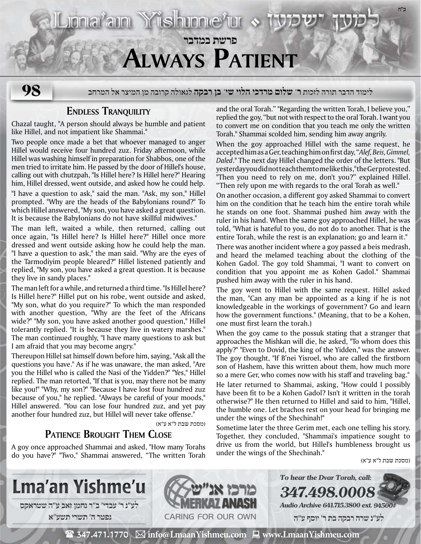# **פרשת במדבר Always Patient**

Jona<sup>r</sup>am Yishinne'ur

לימוד הדבר תורה לזכות **ר' שלום מרדכי הלוי שי' בן רבקה** לגאולה קרובה מן המיצר אל המרחב **98**

### **Endless Tranquility**

Chazal taught, "A person should always be humble and patient like Hillel, and not impatient like Shammai."

Two people once made a bet that whoever managed to anger Hillel would receive four hundred zuz. Friday afternoon, while Hillel was washing himself in preparation for Shabbos, one of the men tried to irritate him. He passed by the door of Hillel's house, calling out with chutzpah, "Is Hillel here? Is Hillel here?" Hearing him, Hillel dressed, went outside, and asked how he could help. "I have a question to ask," said the man. "Ask, my son," Hillel prompted. "Why are the heads of the Babylonians round?" To which Hillel answered, "My son, you have asked a great question. It is because the Babylonians do not have skillful midwives."

The man left, waited a while, then returned, calling out once again, "Is Hillel here? Is Hillel here?" Hillel once more dressed and went outside asking how he could help the man. "I have a question to ask," the man said. "Why are the eyes of the Tarmodiyim people bleared?" Hillel listened patiently and replied, "My son, you have asked a great question. It is because they live in sandy places."

The man left for a while, and returned a third time. "Is Hillel here? Is Hillel here?" Hillel put on his robe, went outside and asked, "My son, what do you require?" To which the man responded with another question, "Why are the feet of the Africans wide?" "My son, you have asked another good question," Hillel tolerantly replied. "It is because they live in watery marshes." The man continued roughly, "I have many questions to ask but I am afraid that you may become angry."

Thereupon Hillel sat himself down before him, saying, "Ask all the questions you have." As if he was unaware, the man asked, "Are you the Hillel who is called the Nasi of the Yidden?" "Yes," Hillel replied. The man retorted, "If that is you, may there not be many like you!" "Why, my son?" "Because I have lost four hundred zuz because of you," he replied. "Always be careful of your moods," Hillel answered. "You can lose four hundred zuz, and yet pay another four hundred zuz, but Hillel will never take offense."

(מסכת שבת ל"א ע"א)

## **Patience Brought Them Close**

A goy once approached Shammai and asked, "How many Torahs do you have?" "Two," Shammai answered, "The written Torah and the oral Torah." "Regarding the written Torah, I believe you," replied the goy, "but not with respect to the oral Torah. I want you to convert me on condition that you teach me only the written Torah." Shammai scolded him, sending him away angrily.

When the goy approached Hillel with the same request, he accepted him as a Ger, teaching him on first day, "*Alef, Beis, Gimmel, Daled*." The next day Hillel changed the order of the letters. "But yesterday you did not teach them to me like this," the Ger protested. "Then you need to rely on me, don't you?" explained Hillel. "Then rely upon me with regards to the oral Torah as well."

On another occasion, a different goy asked Shammai to convert him on the condition that he teach him the entire torah while he stands on one foot. Shammai pushed him away with the ruler in his hand. When the same goy approached Hillel, he was told, "What is hateful to you, do not do to another. That is the entire Torah, while the rest is an explanation; go and learn it."

There was another incident where a goy passed a beis medrash, and heard the melamed teaching about the clothing of the Kohen Gadol. The goy told Shammai, "I want to convert on condition that you appoint me as Kohen Gadol." Shammai pushed him away with the ruler in his hand.

The goy went to Hillel with the same request. Hillel asked the man, "Can any man be appointed as a king if he is not knowledgeable in the workings of government? Go and learn how the government functions." (Meaning, that to be a Kohen, one must first learn the torah.)

When the goy came to the possuk stating that a stranger that approaches the Mishkan will die, he asked, "To whom does this apply?" "Even to Dovid, the king of the Yidden," was the answer. The goy thought, "If B'nei Yisroel, who are called the firstborn son of Hashem, have this written about them, how much more so a mere Ger, who comes now with his staff and traveling bag."

He later returned to Shammai, asking, "How could I possibly have been fit to be a Kohen Gadol? Isn't it written in the torah otherwise?" He then returned to Hillel and said to him, "Hillel, the humble one. Let brachos rest on your head for bringing me under the wings of the Shechinah!"

Sometime later the three Gerim met, each one telling his story. Together, they concluded, "Shammai's impatience sought to drive us from the world, but Hillel's humbleness brought us under the wings of the Shechinah."

(מסכת שבת ל"א ע"א)

**ב"ה**



 $\mathbf{\mathcal{F}}$  347.471.1770  $\ \boxtimes$  info@LmaanYishmeu.com  $\ \blacksquare$  www.LmaanYishmeu.com